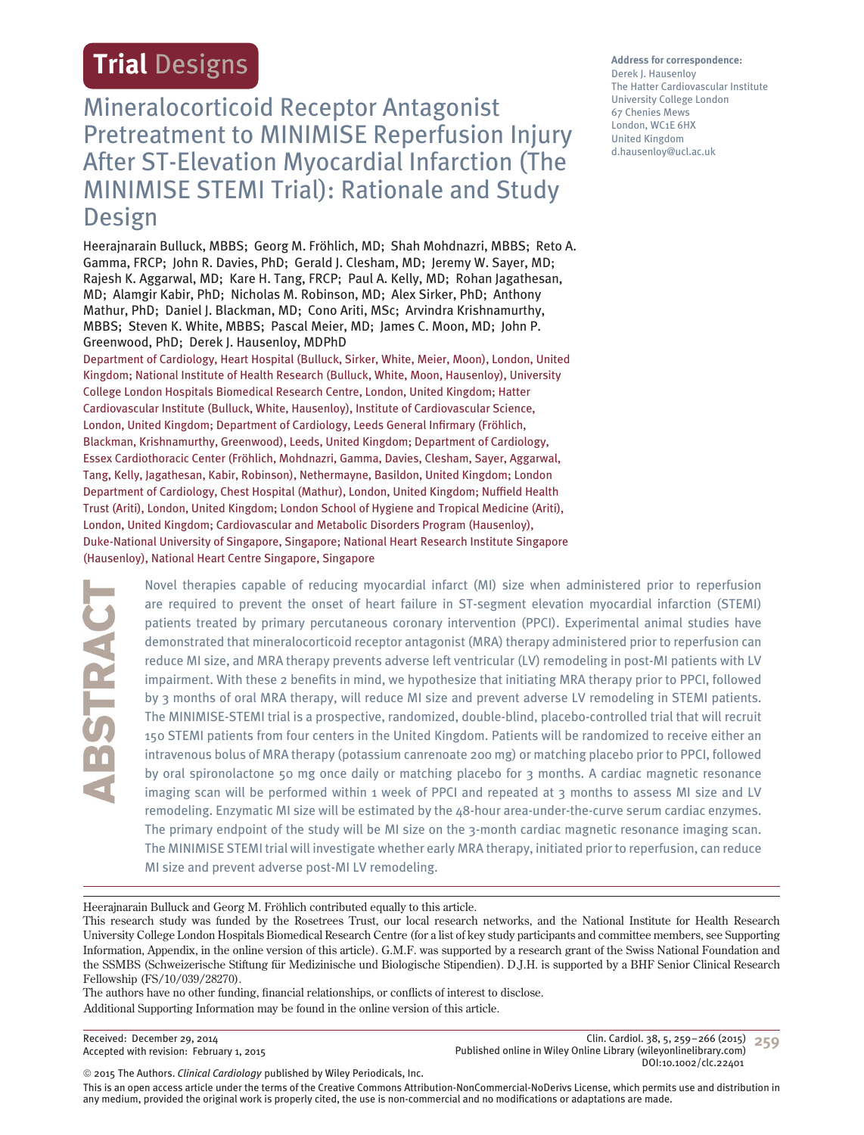# **Trial** Designs

## Mineralocorticoid Receptor Antagonist Pretreatment to MINIMISE Reperfusion Injury After ST-Elevation Myocardial Infarction (The MINIMISE STEMI Trial): Rationale and Study Design

Heerajnarain Bulluck, MBBS; Georg M. Fröhlich, MD; Shah Mohdnazri, MBBS; Reto A. Gamma, FRCP; John R. Davies, PhD; Gerald J. Clesham, MD; Jeremy W. Sayer, MD; Rajesh K. Aggarwal, MD; Kare H. Tang, FRCP; Paul A. Kelly, MD; Rohan Jagathesan, MD; Alamgir Kabir, PhD; Nicholas M. Robinson, MD; Alex Sirker, PhD; Anthony Mathur, PhD; Daniel J. Blackman, MD; Cono Ariti, MSc; Arvindra Krishnamurthy, MBBS; Steven K. White, MBBS; Pascal Meier, MD; James C. Moon, MD; John P. Greenwood, PhD; Derek J. Hausenloy, MDPhD

Department of Cardiology, Heart Hospital (Bulluck, Sirker, White, Meier, Moon), London, United Kingdom; National Institute of Health Research (Bulluck, White, Moon, Hausenloy), University College London Hospitals Biomedical Research Centre, London, United Kingdom; Hatter Cardiovascular Institute (Bulluck, White, Hausenloy), Institute of Cardiovascular Science, London, United Kingdom; Department of Cardiology, Leeds General Infirmary (Fröhlich, Blackman, Krishnamurthy, Greenwood), Leeds, United Kingdom; Department of Cardiology, Essex Cardiothoracic Center (Fröhlich, Mohdnazri, Gamma, Davies, Clesham, Sayer, Aggarwal, Tang, Kelly, Jagathesan, Kabir, Robinson), Nethermayne, Basildon, United Kingdom; London Department of Cardiology, Chest Hospital (Mathur), London, United Kingdom; Nuffield Health Trust (Ariti), London, United Kingdom; London School of Hygiene and Tropical Medicine (Ariti), London, United Kingdom; Cardiovascular and Metabolic Disorders Program (Hausenloy), Duke-National University of Singapore, Singapore; National Heart Research Institute Singapore (Hausenloy), National Heart Centre Singapore, Singapore

> Novel therapies capable of reducing myocardial infarct (MI) size when administered prior to reperfusion are required to prevent the onset of heart failure in ST-segment elevation myocardial infarction (STEMI) patients treated by primary percutaneous coronary intervention (PPCI). Experimental animal studies have demonstrated that mineralocorticoid receptor antagonist (MRA) therapy administered prior to reperfusion can reduce MI size, and MRA therapy prevents adverse left ventricular (LV) remodeling in post-MI patients with LV impairment. With these 2 benefits in mind, we hypothesize that initiating MRA therapy prior to PPCI, followed by 3 months of oral MRA therapy, will reduce MI size and prevent adverse LV remodeling in STEMI patients. The MINIMISE-STEMI trial is a prospective, randomized, double-blind, placebo-controlled trial that will recruit 150 STEMI patients from four centers in the United Kingdom. Patients will be randomized to receive either an intravenous bolus of MRA therapy (potassium canrenoate 200 mg) or matching placebo prior to PPCI, followed by oral spironolactone 50 mg once daily or matching placebo for 3 months. A cardiac magnetic resonance imaging scan will be performed within 1 week of PPCI and repeated at 3 months to assess MI size and LV remodeling. Enzymatic MI size will be estimated by the 48-hour area-under-the-curve serum cardiac enzymes. The primary endpoint of the study will be MI size on the 3-month cardiac magnetic resonance imaging scan. The MINIMISE STEMI trial will investigate whether early MRA therapy, initiated prior to reperfusion, can reduce MI size and prevent adverse post-MI LV remodeling.

Heerajnarain Bulluck and Georg M. Fröhlich contributed equally to this article.

This research study was funded by the Rosetrees Trust, our local research networks, and the National Institute for Health Research University College London Hospitals Biomedical Research Centre (for a list of key study participants and committee members, see Supporting Information, Appendix, in the online version of this article). G.M.F. was supported by a research grant of the Swiss National Foundation and the SSMBS (Schweizerische Stiftung fur Medizinische und Biologische Stipendien). D.J.H. is supported by a BHF Senior Clinical Research ¨ Fellowship (FS/10/039/28270).

The authors have no other funding, financial relationships, or conflicts of interest to disclose. Additional Supporting Information may be found in the online version of this article.

Received: December 29, 2014 Accepted with revision: February 1, 2015

ABSTRACT

Clin. Cardiol. 38, 5, 259–266 (2015) **<sup>259</sup>** Published online in Wiley Online Library (wileyonlinelibrary.com) DOI:10.1002/clc.22401

Derek J. Hausenloy The Hatter Cardiovascular Institute University College London 67 Chenies Mews London, WC1E 6HX United Kingdom d.hausenloy@ucl.ac.uk

**Address for correspondence:**

© 2015 The Authors. *Clinical Cardiology* published by Wiley Periodicals, Inc.

This is an open access article under the terms of the Creative Commons Attribution-NonCommercial-NoDerivs License, which permits use and distribution in any medium, provided the original work is properly cited, the use is non-commercial and no modifications or adaptations are made.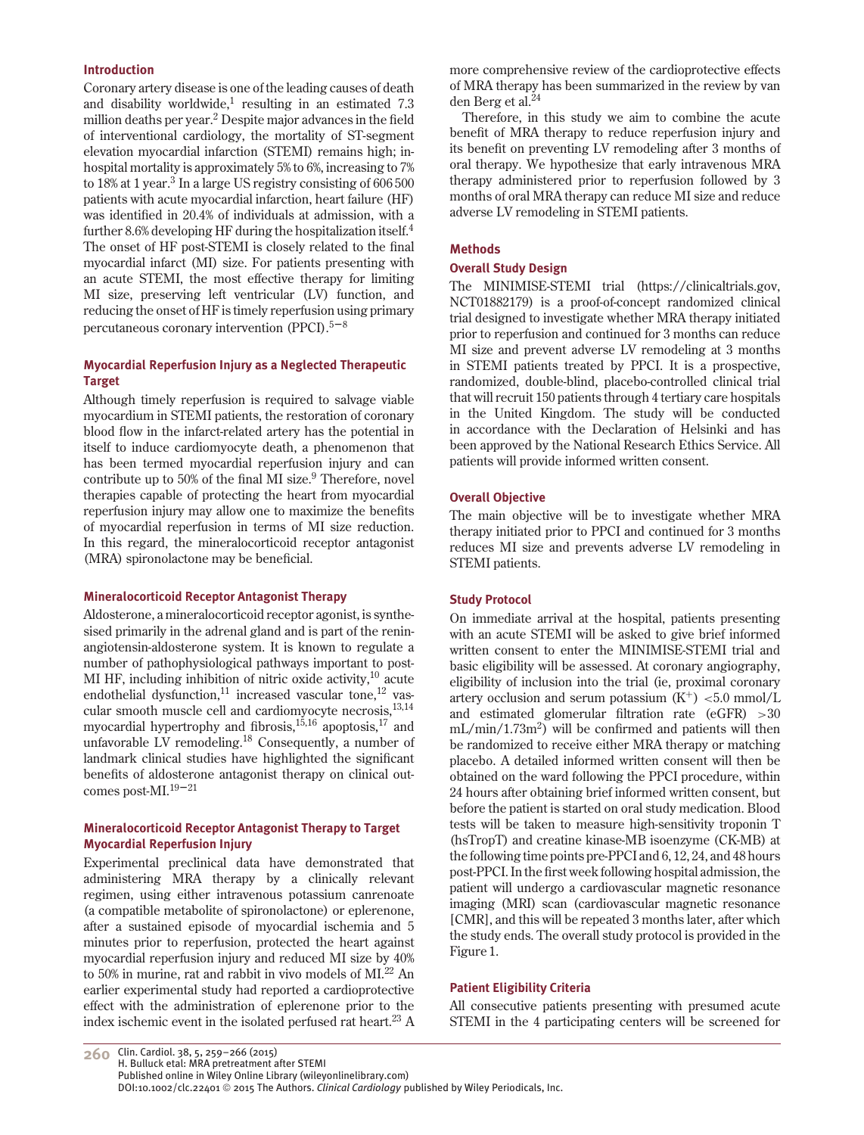## **Introduction**

Coronary artery disease is one of the leading causes of death and disability worldwide, $1$  resulting in an estimated 7.3 million deaths per year.2 Despite major advances in the field of interventional cardiology, the mortality of ST-segment elevation myocardial infarction (STEMI) remains high; inhospital mortality is approximately 5% to 6%, increasing to 7% to  $18\%$  at 1 year.<sup>3</sup> In a large US registry consisting of  $606\,500$ patients with acute myocardial infarction, heart failure (HF) was identified in 20.4% of individuals at admission, with a further 8.6% developing HF during the hospitalization itself.<sup>4</sup> The onset of HF post-STEMI is closely related to the final myocardial infarct (MI) size. For patients presenting with an acute STEMI, the most effective therapy for limiting MI size, preserving left ventricular (LV) function, and reducing the onset of HF is timely reperfusion using primary percutaneous coronary intervention (PPCI). $5-8$ 

## **Myocardial Reperfusion Injury as a Neglected Therapeutic Target**

Although timely reperfusion is required to salvage viable myocardium in STEMI patients, the restoration of coronary blood flow in the infarct-related artery has the potential in itself to induce cardiomyocyte death, a phenomenon that has been termed myocardial reperfusion injury and can contribute up to 50% of the final MI size.<sup>9</sup> Therefore, novel therapies capable of protecting the heart from myocardial reperfusion injury may allow one to maximize the benefits of myocardial reperfusion in terms of MI size reduction. In this regard, the mineralocorticoid receptor antagonist (MRA) spironolactone may be beneficial.

## **Mineralocorticoid Receptor Antagonist Therapy**

Aldosterone, a mineralocorticoid receptor agonist, is synthesised primarily in the adrenal gland and is part of the reninangiotensin-aldosterone system. It is known to regulate a number of pathophysiological pathways important to post-MI HF, including inhibition of nitric oxide activity, $10$  acute endothelial dysfunction,<sup>11</sup> increased vascular tone,<sup>12</sup> vascular smooth muscle cell and cardiomyocyte necrosis,<sup>13,14</sup> myocardial hypertrophy and fibrosis,<sup>15,16</sup> apoptosis,<sup>17</sup> and unfavorable LV remodeling.18 Consequently, a number of landmark clinical studies have highlighted the significant benefits of aldosterone antagonist therapy on clinical outcomes post-MI.19–21

## **Mineralocorticoid Receptor Antagonist Therapy to Target Myocardial Reperfusion Injury**

Experimental preclinical data have demonstrated that administering MRA therapy by a clinically relevant regimen, using either intravenous potassium canrenoate (a compatible metabolite of spironolactone) or eplerenone, after a sustained episode of myocardial ischemia and 5 minutes prior to reperfusion, protected the heart against myocardial reperfusion injury and reduced MI size by 40% to 50% in murine, rat and rabbit in vivo models of MI.<sup>22</sup> An earlier experimental study had reported a cardioprotective effect with the administration of eplerenone prior to the index ischemic event in the isolated perfused rat heart.<sup>23</sup> A more comprehensive review of the cardioprotective effects of MRA therapy has been summarized in the review by van den Berg et al.<sup>24</sup>

Therefore, in this study we aim to combine the acute benefit of MRA therapy to reduce reperfusion injury and its benefit on preventing LV remodeling after 3 months of oral therapy. We hypothesize that early intravenous MRA therapy administered prior to reperfusion followed by 3 months of oral MRA therapy can reduce MI size and reduce adverse LV remodeling in STEMI patients.

## **Methods**

## **Overall Study Design**

The MINIMISE-STEMI trial (https://clinicaltrials.gov, NCT01882179) is a proof-of-concept randomized clinical trial designed to investigate whether MRA therapy initiated prior to reperfusion and continued for 3 months can reduce MI size and prevent adverse LV remodeling at 3 months in STEMI patients treated by PPCI. It is a prospective, randomized, double-blind, placebo-controlled clinical trial that will recruit 150 patients through 4 tertiary care hospitals in the United Kingdom. The study will be conducted in accordance with the Declaration of Helsinki and has been approved by the National Research Ethics Service. All patients will provide informed written consent.

## **Overall Objective**

The main objective will be to investigate whether MRA therapy initiated prior to PPCI and continued for 3 months reduces MI size and prevents adverse LV remodeling in STEMI patients.

## **Study Protocol**

On immediate arrival at the hospital, patients presenting with an acute STEMI will be asked to give brief informed written consent to enter the MINIMISE-STEMI trial and basic eligibility will be assessed. At coronary angiography, eligibility of inclusion into the trial (ie, proximal coronary artery occlusion and serum potassium (K+) *<*5.0 mmol/L and estimated glomerular filtration rate (eGFR) *>*30  $mL/min/1.73m<sup>2</sup>$  will be confirmed and patients will then be randomized to receive either MRA therapy or matching placebo. A detailed informed written consent will then be obtained on the ward following the PPCI procedure, within 24 hours after obtaining brief informed written consent, but before the patient is started on oral study medication. Blood tests will be taken to measure high-sensitivity troponin T (hsTropT) and creatine kinase-MB isoenzyme (CK-MB) at the following time points pre-PPCI and 6, 12, 24, and 48 hours post-PPCI. In the first week following hospital admission, the patient will undergo a cardiovascular magnetic resonance imaging (MRI) scan (cardiovascular magnetic resonance [CMR], and this will be repeated 3 months later, after which the study ends. The overall study protocol is provided in the Figure 1.

## **Patient Eligibility Criteria**

All consecutive patients presenting with presumed acute STEMI in the 4 participating centers will be screened for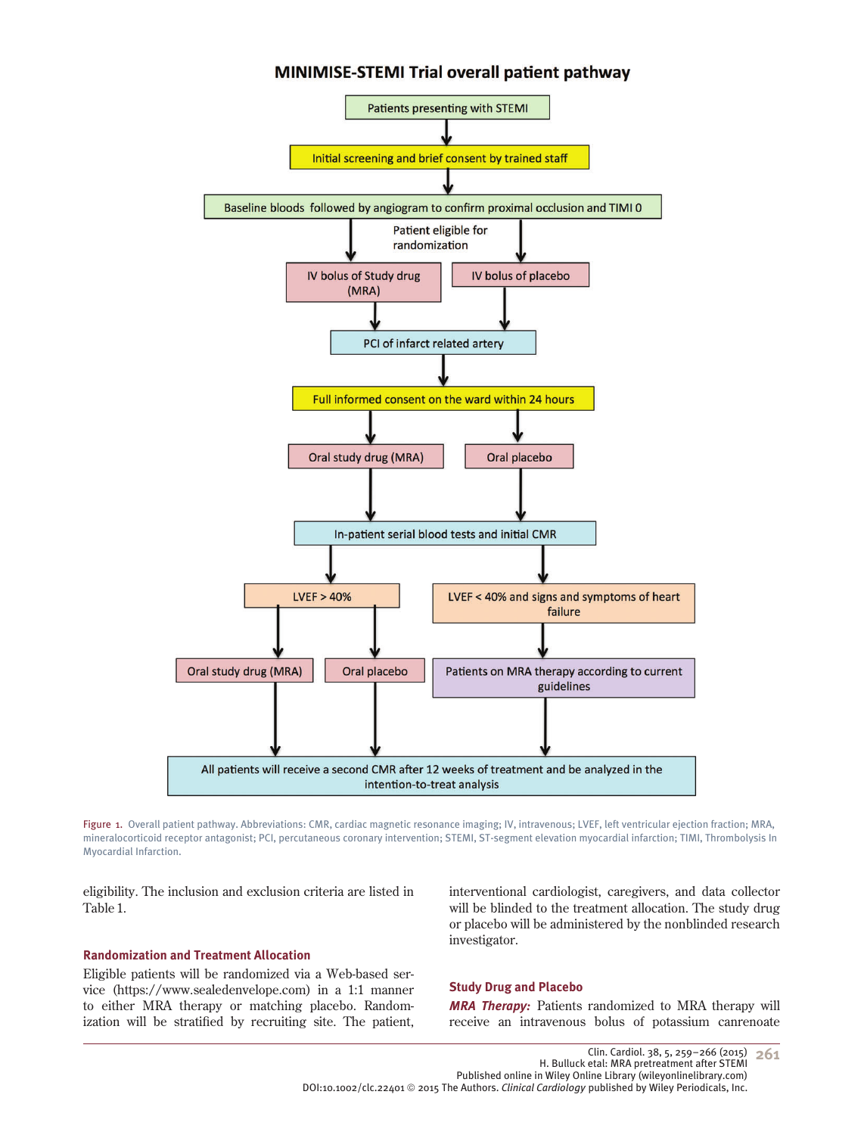

## **MINIMISE-STEMI Trial overall patient pathway**

Figure 1. Overall patient pathway. Abbreviations: CMR, cardiac magnetic resonance imaging; IV, intravenous; LVEF, left ventricular ejection fraction; MRA, mineralocorticoid receptor antagonist; PCI, percutaneous coronary intervention; STEMI, ST-segment elevation myocardial infarction; TIMI, Thrombolysis In Myocardial Infarction.

eligibility. The inclusion and exclusion criteria are listed in Table 1.

## **Randomization and Treatment Allocation**

Eligible patients will be randomized via a Web-based service (https://www.sealedenvelope.com) in a 1:1 manner to either MRA therapy or matching placebo. Randomization will be stratified by recruiting site. The patient,

interventional cardiologist, caregivers, and data collector will be blinded to the treatment allocation. The study drug or placebo will be administered by the nonblinded research investigator.

#### **Study Drug and Placebo**

*MRA Therapy:* Patients randomized to MRA therapy will receive an intravenous bolus of potassium canrenoate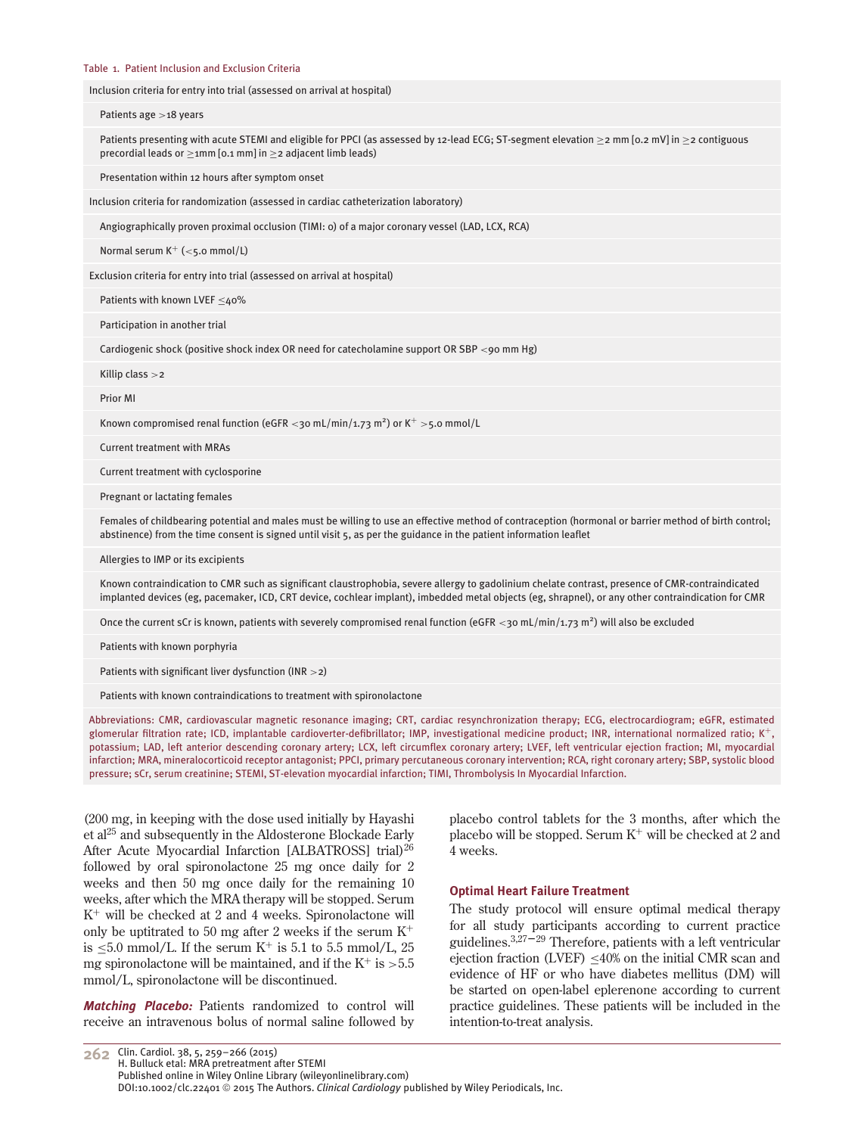#### Table 1. Patient Inclusion and Exclusion Criteria

Inclusion criteria for entry into trial (assessed on arrival at hospital)

Patients age *>*18 years

Patients presenting with acute STEMI and eligible for PPCI (as assessed by 12-lead ECG; ST-segment elevation ≥2 mm [0.2 mV] in ≥2 contiguous precordial leads or ≥1mm [0.1 mm] in ≥2 adjacent limb leads)

Presentation within 12 hours after symptom onset

Inclusion criteria for randomization (assessed in cardiac catheterization laboratory)

Angiographically proven proximal occlusion (TIMI: 0) of a major coronary vessel (LAD, LCX, RCA)

Normal serum K+ (*<*5.0 mmol/L)

Exclusion criteria for entry into trial (assessed on arrival at hospital)

Patients with known LVEF ≤40%

Participation in another trial

Cardiogenic shock (positive shock index OR need for catecholamine support OR SBP *<*90 mm Hg)

Killip class *>*2

Prior MI

Known compromised renal function (eGFR *<*30 mL/min/1.73 m2) or K<sup>+</sup> *>*5.0 mmol/L

Current treatment with MRAs

Current treatment with cyclosporine

Pregnant or lactating females

Females of childbearing potential and males must be willing to use an effective method of contraception (hormonal or barrier method of birth control; abstinence) from the time consent is signed until visit 5, as per the guidance in the patient information leaflet

Allergies to IMP or its excipients

Known contraindication to CMR such as significant claustrophobia, severe allergy to gadolinium chelate contrast, presence of CMR-contraindicated implanted devices (eg, pacemaker, ICD, CRT device, cochlear implant), imbedded metal objects (eg, shrapnel), or any other contraindication for CMR

Once the current sCr is known, patients with severely compromised renal function (eGFR *<*30 mL/min/1.73 m2) will also be excluded

Patients with known porphyria

Patients with significant liver dysfunction (INR *>*2)

Patients with known contraindications to treatment with spironolactone

Abbreviations: CMR, cardiovascular magnetic resonance imaging; CRT, cardiac resynchronization therapy; ECG, electrocardiogram; eGFR, estimated glomerular filtration rate; ICD, implantable cardioverter-defibrillator; IMP, investigational medicine product; INR, international normalized ratio; K<sup>+</sup>, potassium; LAD, left anterior descending coronary artery; LCX, left circumflex coronary artery; LVEF, left ventricular ejection fraction; MI, myocardial infarction; MRA, mineralocorticoid receptor antagonist; PPCI, primary percutaneous coronary intervention; RCA, right coronary artery; SBP, systolic blood pressure; sCr, serum creatinine; STEMI, ST-elevation myocardial infarction; TIMI, Thrombolysis In Myocardial Infarction.

(200 mg, in keeping with the dose used initially by Hayashi et al<sup>25</sup> and subsequently in the Aldosterone Blockade Early After Acute Myocardial Infarction [ALBATROSS] trial)<sup>26</sup> followed by oral spironolactone 25 mg once daily for 2 weeks and then 50 mg once daily for the remaining 10 weeks, after which the MRA therapy will be stopped. Serum  $K^+$  will be checked at 2 and 4 weeks. Spironolactone will only be uptitrated to 50 mg after 2 weeks if the serum  $K^+$ is  $\leq 5.0$  mmol/L. If the serum K<sup>+</sup> is 5.1 to 5.5 mmol/L, 25 mg spironolactone will be maintained, and if the  $K^+$  is  $>5.5$ mmol/L, spironolactone will be discontinued.

*Matching Placebo:* Patients randomized to control will receive an intravenous bolus of normal saline followed by

placebo control tablets for the 3 months, after which the placebo will be stopped. Serum  $K^+$  will be checked at 2 and 4 weeks.

#### **Optimal Heart Failure Treatment**

The study protocol will ensure optimal medical therapy for all study participants according to current practice guidelines. $3,27-29$  Therefore, patients with a left ventricular ejection fraction (LVEF)  $\leq$ 40% on the initial CMR scan and evidence of HF or who have diabetes mellitus (DM) will be started on open-label eplerenone according to current practice guidelines. These patients will be included in the intention-to-treat analysis.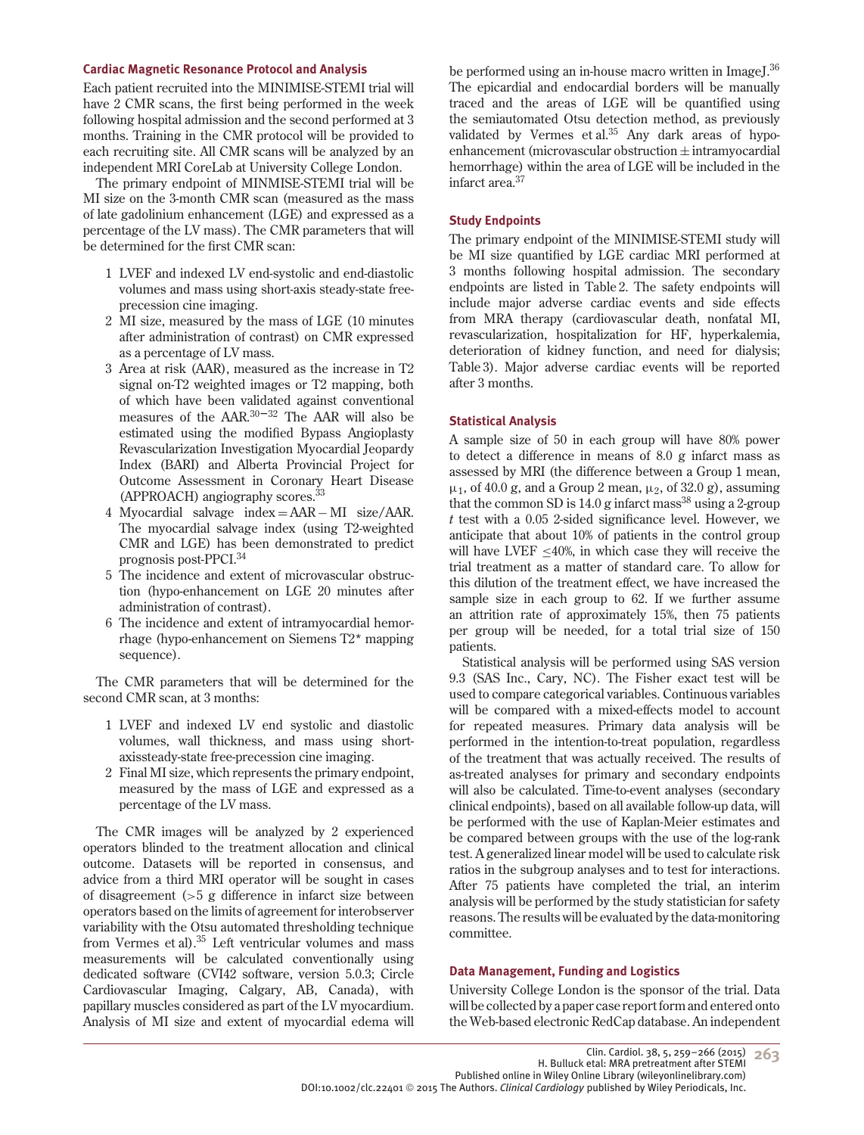#### **Cardiac Magnetic Resonance Protocol and Analysis**

Each patient recruited into the MINIMISE-STEMI trial will have 2 CMR scans, the first being performed in the week following hospital admission and the second performed at 3 months. Training in the CMR protocol will be provided to each recruiting site. All CMR scans will be analyzed by an independent MRI CoreLab at University College London.

The primary endpoint of MINMISE-STEMI trial will be MI size on the 3-month CMR scan (measured as the mass of late gadolinium enhancement (LGE) and expressed as a percentage of the LV mass). The CMR parameters that will be determined for the first CMR scan:

- 1 LVEF and indexed LV end-systolic and end-diastolic volumes and mass using short-axis steady-state freeprecession cine imaging.
- 2 MI size, measured by the mass of LGE (10 minutes after administration of contrast) on CMR expressed as a percentage of LV mass.
- 3 Area at risk (AAR), measured as the increase in T2 signal on-T2 weighted images or T2 mapping, both of which have been validated against conventional measures of the  $AAR^{30-32}$  The AAR will also be estimated using the modified Bypass Angioplasty Revascularization Investigation Myocardial Jeopardy Index (BARI) and Alberta Provincial Project for Outcome Assessment in Coronary Heart Disease (APPROACH) angiography scores.33
- 4 Myocardial salvage index = AAR − MI size/AAR. The myocardial salvage index (using T2-weighted CMR and LGE) has been demonstrated to predict prognosis post-PPCI.<sup>34</sup>
- 5 The incidence and extent of microvascular obstruction (hypo-enhancement on LGE 20 minutes after administration of contrast).
- 6 The incidence and extent of intramyocardial hemorrhage (hypo-enhancement on Siemens T2\* mapping sequence).

The CMR parameters that will be determined for the second CMR scan, at 3 months:

- 1 LVEF and indexed LV end systolic and diastolic volumes, wall thickness, and mass using shortaxissteady-state free-precession cine imaging.
- 2 Final MI size, which represents the primary endpoint, measured by the mass of LGE and expressed as a percentage of the LV mass.

The CMR images will be analyzed by 2 experienced operators blinded to the treatment allocation and clinical outcome. Datasets will be reported in consensus, and advice from a third MRI operator will be sought in cases of disagreement (*>*5 g difference in infarct size between operators based on the limits of agreement for interobserver variability with the Otsu automated thresholding technique from Vermes et al).<sup>35</sup> Left ventricular volumes and mass measurements will be calculated conventionally using dedicated software (CVI42 software, version 5.0.3; Circle Cardiovascular Imaging, Calgary, AB, Canada), with papillary muscles considered as part of the LV myocardium. Analysis of MI size and extent of myocardial edema will

be performed using an in-house macro written in ImageJ.<sup>36</sup> The epicardial and endocardial borders will be manually traced and the areas of LGE will be quantified using the semiautomated Otsu detection method, as previously validated by Vermes et al.<sup>35</sup> Any dark areas of hypoenhancement (microvascular obstruction  $\pm$  intramyocardial hemorrhage) within the area of LGE will be included in the infarct area.<sup>37</sup>

## **Study Endpoints**

The primary endpoint of the MINIMISE-STEMI study will be MI size quantified by LGE cardiac MRI performed at 3 months following hospital admission. The secondary endpoints are listed in Table 2. The safety endpoints will include major adverse cardiac events and side effects from MRA therapy (cardiovascular death, nonfatal MI, revascularization, hospitalization for HF, hyperkalemia, deterioration of kidney function, and need for dialysis; Table 3). Major adverse cardiac events will be reported after 3 months.

#### **Statistical Analysis**

A sample size of 50 in each group will have 80% power to detect a difference in means of 8.0 g infarct mass as assessed by MRI (the difference between a Group 1 mean,  $\mu_1$ , of 40.0 g, and a Group 2 mean,  $\mu_2$ , of 32.0 g), assuming that the common SD is 14.0 g infarct mass  $38$  using a 2-group *t* test with a 0.05 2-sided significance level. However, we anticipate that about 10% of patients in the control group will have LVEF  $\leq$ 40%, in which case they will receive the trial treatment as a matter of standard care. To allow for this dilution of the treatment effect, we have increased the sample size in each group to 62. If we further assume an attrition rate of approximately 15%, then 75 patients per group will be needed, for a total trial size of 150 patients.

Statistical analysis will be performed using SAS version 9.3 (SAS Inc., Cary, NC). The Fisher exact test will be used to compare categorical variables. Continuous variables will be compared with a mixed-effects model to account for repeated measures. Primary data analysis will be performed in the intention-to-treat population, regardless of the treatment that was actually received. The results of as-treated analyses for primary and secondary endpoints will also be calculated. Time-to-event analyses (secondary clinical endpoints), based on all available follow-up data, will be performed with the use of Kaplan-Meier estimates and be compared between groups with the use of the log-rank test. A generalized linear model will be used to calculate risk ratios in the subgroup analyses and to test for interactions. After 75 patients have completed the trial, an interim analysis will be performed by the study statistician for safety reasons. The results will be evaluated by the data-monitoring committee.

#### **Data Management, Funding and Logistics**

University College London is the sponsor of the trial. Data will be collected by a paper case report form and entered onto the Web-based electronic RedCap database. An independent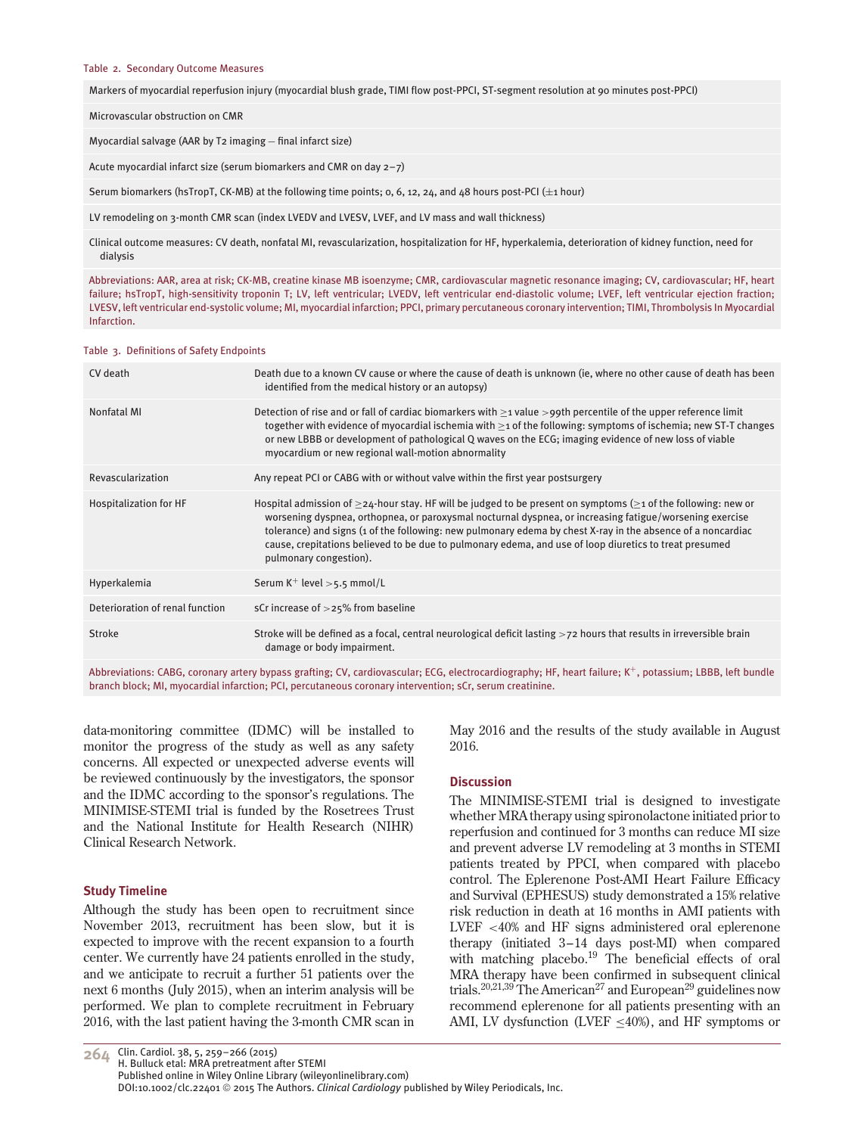#### Table 2. Secondary Outcome Measures

Markers of myocardial reperfusion injury (myocardial blush grade, TIMI flow post-PPCI, ST-segment resolution at 90 minutes post-PPCI)

Microvascular obstruction on CMR

Myocardial salvage (AAR by T2 imaging - final infarct size)

Acute myocardial infarct size (serum biomarkers and CMR on day 2–7)

Serum biomarkers (hsTropT, CK-MB) at the following time points;  $o$ , 6, 12, 24, and 48 hours post-PCI ( $\pm$ 1 hour)

LV remodeling on 3-month CMR scan (index LVEDV and LVESV, LVEF, and LV mass and wall thickness)

Clinical outcome measures: CV death, nonfatal MI, revascularization, hospitalization for HF, hyperkalemia, deterioration of kidney function, need for dialysis

Abbreviations: AAR, area at risk; CK-MB, creatine kinase MB isoenzyme; CMR, cardiovascular magnetic resonance imaging; CV, cardiovascular; HF, heart failure; hsTropT, high-sensitivity troponin T; LV, left ventricular; LVEDV, left ventricular end-diastolic volume; LVEF, left ventricular ejection fraction; LVESV, left ventricular end-systolic volume; MI, myocardial infarction; PPCI, primary percutaneous coronary intervention; TIMI, Thrombolysis In Myocardial Infarction.

Table 3. Definitions of Safety Endpoints

| CV death                        | Death due to a known CV cause or where the cause of death is unknown (ie, where no other cause of death has been<br>identified from the medical history or an autopsy)                                                                                                                                                                                                                                                                                                                   |
|---------------------------------|------------------------------------------------------------------------------------------------------------------------------------------------------------------------------------------------------------------------------------------------------------------------------------------------------------------------------------------------------------------------------------------------------------------------------------------------------------------------------------------|
| Nonfatal MI                     | Detection of rise and or fall of cardiac biomarkers with $>1$ value $>$ 99th percentile of the upper reference limit<br>together with evidence of myocardial ischemia with $\geq 1$ of the following: symptoms of ischemia; new ST-T changes<br>or new LBBB or development of pathological Q waves on the ECG; imaging evidence of new loss of viable<br>myocardium or new regional wall-motion abnormality                                                                              |
| Revascularization               | Any repeat PCI or CABG with or without valve within the first year postsurgery                                                                                                                                                                                                                                                                                                                                                                                                           |
| <b>Hospitalization for HF</b>   | Hospital admission of $\geq$ 24-hour stay. HF will be judged to be present on symptoms ( $\geq$ 1 of the following: new or<br>worsening dyspnea, orthopnea, or paroxysmal nocturnal dyspnea, or increasing fatigue/worsening exercise<br>tolerance) and signs (1 of the following: new pulmonary edema by chest X-ray in the absence of a noncardiac<br>cause, crepitations believed to be due to pulmonary edema, and use of loop diuretics to treat presumed<br>pulmonary congestion). |
| Hyperkalemia                    | Serum K <sup>+</sup> level >5.5 mmol/L                                                                                                                                                                                                                                                                                                                                                                                                                                                   |
| Deterioration of renal function | sCr increase of $>$ 25% from baseline                                                                                                                                                                                                                                                                                                                                                                                                                                                    |
| <b>Stroke</b>                   | Stroke will be defined as a focal, central neurological deficit lasting $>72$ hours that results in irreversible brain<br>damage or body impairment.                                                                                                                                                                                                                                                                                                                                     |

Abbreviations: CABG, coronary artery bypass grafting; CV, cardiovascular; ECG, electrocardiography; HF, heart failure; K<sup>+</sup>, potassium; LBBB, left bundle branch block; MI, myocardial infarction; PCI, percutaneous coronary intervention; sCr, serum creatinine.

data-monitoring committee (IDMC) will be installed to monitor the progress of the study as well as any safety concerns. All expected or unexpected adverse events will be reviewed continuously by the investigators, the sponsor and the IDMC according to the sponsor's regulations. The MINIMISE-STEMI trial is funded by the Rosetrees Trust and the National Institute for Health Research (NIHR) Clinical Research Network.

#### **Study Timeline**

Although the study has been open to recruitment since November 2013, recruitment has been slow, but it is expected to improve with the recent expansion to a fourth center. We currently have 24 patients enrolled in the study, and we anticipate to recruit a further 51 patients over the next 6 months (July 2015), when an interim analysis will be performed. We plan to complete recruitment in February 2016, with the last patient having the 3-month CMR scan in

May 2016 and the results of the study available in August 2016.

### **Discussion**

The MINIMISE-STEMI trial is designed to investigate whether MRA therapy using spironolactone initiated prior to reperfusion and continued for 3 months can reduce MI size and prevent adverse LV remodeling at 3 months in STEMI patients treated by PPCI, when compared with placebo control. The Eplerenone Post-AMI Heart Failure Efficacy and Survival (EPHESUS) study demonstrated a 15% relative risk reduction in death at 16 months in AMI patients with LVEF *<*40% and HF signs administered oral eplerenone therapy (initiated 3–14 days post-MI) when compared with matching placebo.<sup>19</sup> The beneficial effects of oral MRA therapy have been confirmed in subsequent clinical trials.<sup>20,21,39</sup> The American<sup>27</sup> and European<sup>29</sup> guidelines now recommend eplerenone for all patients presenting with an AMI, LV dysfunction (LVEF  $\leq$ 40%), and HF symptoms or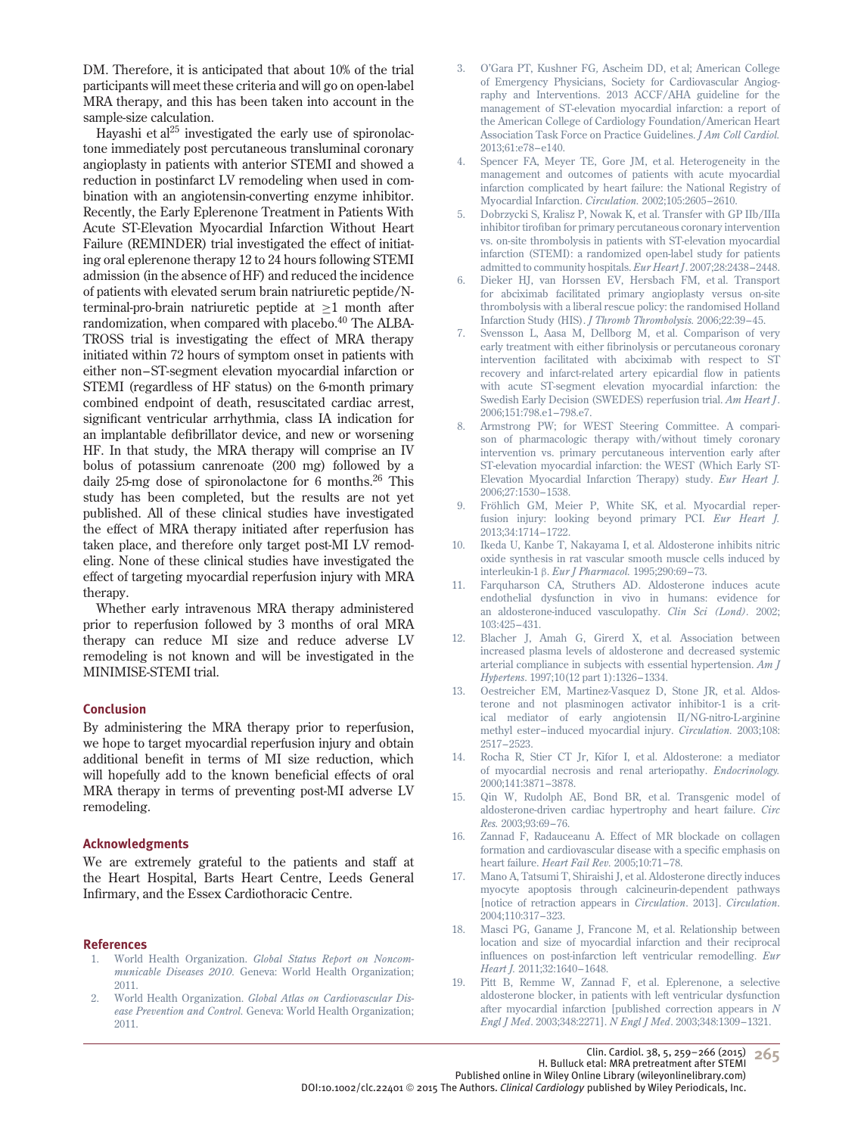DM. Therefore, it is anticipated that about 10% of the trial participants will meet these criteria and will go on open-label MRA therapy, and this has been taken into account in the sample-size calculation.

Hayashi et  $al^{25}$  investigated the early use of spironolactone immediately post percutaneous transluminal coronary angioplasty in patients with anterior STEMI and showed a reduction in postinfarct LV remodeling when used in combination with an angiotensin-converting enzyme inhibitor. Recently, the Early Eplerenone Treatment in Patients With Acute ST-Elevation Myocardial Infarction Without Heart Failure (REMINDER) trial investigated the effect of initiating oral eplerenone therapy 12 to 24 hours following STEMI admission (in the absence of HF) and reduced the incidence of patients with elevated serum brain natriuretic peptide/Nterminal-pro-brain natriuretic peptide at  $\geq 1$  month after randomization, when compared with placebo.40 The ALBA-TROSS trial is investigating the effect of MRA therapy initiated within 72 hours of symptom onset in patients with either non–ST-segment elevation myocardial infarction or STEMI (regardless of HF status) on the 6-month primary combined endpoint of death, resuscitated cardiac arrest, significant ventricular arrhythmia, class IA indication for an implantable defibrillator device, and new or worsening HF. In that study, the MRA therapy will comprise an IV bolus of potassium canrenoate (200 mg) followed by a daily 25-mg dose of spironolactone for 6 months.<sup>26</sup> This study has been completed, but the results are not yet published. All of these clinical studies have investigated the effect of MRA therapy initiated after reperfusion has taken place, and therefore only target post-MI LV remodeling. None of these clinical studies have investigated the effect of targeting myocardial reperfusion injury with MRA therapy.

Whether early intravenous MRA therapy administered prior to reperfusion followed by 3 months of oral MRA therapy can reduce MI size and reduce adverse LV remodeling is not known and will be investigated in the MINIMISE-STEMI trial.

## **Conclusion**

By administering the MRA therapy prior to reperfusion, we hope to target myocardial reperfusion injury and obtain additional benefit in terms of MI size reduction, which will hopefully add to the known beneficial effects of oral MRA therapy in terms of preventing post-MI adverse LV remodeling.

#### **Acknowledgments**

We are extremely grateful to the patients and staff at the Heart Hospital, Barts Heart Centre, Leeds General Infirmary, and the Essex Cardiothoracic Centre.

#### **References**

- 1. World Health Organization. *Global Status Report on Noncommunicable Diseases 2010.* Geneva: World Health Organization; 2011.
- 2. World Health Organization. *Global Atlas on Cardiovascular Disease Prevention and Control.* Geneva: World Health Organization; 2011.
- 3. O'Gara PT, Kushner FG*,* Ascheim DD, et al; American College of Emergency Physicians, Society for Cardiovascular Angiography and Interventions. 2013 ACCF/AHA guideline for the management of ST-elevation myocardial infarction: a report of the American College of Cardiology Foundation/American Heart Association Task Force on Practice Guidelines. *J Am Coll Cardiol.* 2013;61:e78–e140.
- 4. Spencer FA, Meyer TE, Gore JM, et al. Heterogeneity in the management and outcomes of patients with acute myocardial infarction complicated by heart failure: the National Registry of Myocardial Infarction. *Circulation.* 2002;105:2605–2610.
- 5. Dobrzycki S, Kralisz P, Nowak K, et al. Transfer with GP IIb/IIIa inhibitor tirofiban for primary percutaneous coronary intervention vs. on-site thrombolysis in patients with ST-elevation myocardial infarction (STEMI): a randomized open-label study for patients admitted to community hospitals. *Eur Heart J*. 2007;28:2438–2448.
- 6. Dieker HJ, van Horssen EV, Hersbach FM, et al. Transport for abciximab facilitated primary angioplasty versus on-site thrombolysis with a liberal rescue policy: the randomised Holland Infarction Study (HIS). *J Thromb Thrombolysis.* 2006;22:39–45.
- 7. Svensson L, Aasa M, Dellborg M, et al. Comparison of very early treatment with either fibrinolysis or percutaneous coronary intervention facilitated with abciximab with respect to ST recovery and infarct-related artery epicardial flow in patients with acute ST-segment elevation myocardial infarction: the Swedish Early Decision (SWEDES) reperfusion trial. *Am Heart J*. 2006;151:798.e1–798.e7.
- 8. Armstrong PW; for WEST Steering Committee. A comparison of pharmacologic therapy with/without timely coronary intervention vs. primary percutaneous intervention early after ST-elevation myocardial infarction: the WEST (Which Early ST-Elevation Myocardial Infarction Therapy) study. *Eur Heart J.* 2006;27:1530–1538.
- 9. Fröhlich GM, Meier P, White SK, et al. Myocardial reperfusion injury: looking beyond primary PCI. *Eur Heart J.* 2013;34:1714–1722.
- 10. Ikeda U, Kanbe T, Nakayama I, et al. Aldosterone inhibits nitric oxide synthesis in rat vascular smooth muscle cells induced by interleukin-1 β. *Eur J Pharmacol.* 1995;290:69–73.
- 11. Farquharson CA, Struthers AD. Aldosterone induces acute endothelial dysfunction in vivo in humans: evidence for an aldosterone-induced vasculopathy. *Clin Sci (Lond).* 2002; 103:425–431.
- 12. Blacher J, Amah G, Girerd X, et al. Association between increased plasma levels of aldosterone and decreased systemic arterial compliance in subjects with essential hypertension. *Am J Hypertens*. 1997;10(12 part 1):1326–1334.
- 13. Oestreicher EM, Martinez-Vasquez D, Stone JR, et al. Aldosterone and not plasminogen activator inhibitor-1 is a critical mediator of early angiotensin II/NG-nitro-L-arginine methyl ester–induced myocardial injury. *Circulation.* 2003;108: 2517–2523.
- 14. Rocha R, Stier CT Jr, Kifor I, et al. Aldosterone: a mediator of myocardial necrosis and renal arteriopathy. *Endocrinology.* 2000;141:3871–3878.
- 15. Qin W, Rudolph AE, Bond BR, et al. Transgenic model of aldosterone-driven cardiac hypertrophy and heart failure. *Circ Res.* 2003;93:69–76.
- 16. Zannad F, Radauceanu A. Effect of MR blockade on collagen formation and cardiovascular disease with a specific emphasis on heart failure. *Heart Fail Rev.* 2005;10:71–78.
- 17. Mano A, Tatsumi T, Shiraishi J, et al. Aldosterone directly induces myocyte apoptosis through calcineurin-dependent pathways [notice of retraction appears in *Circulation*. 2013]. *Circulation*. 2004;110:317–323.
- 18. Masci PG, Ganame J, Francone M, et al. Relationship between location and size of myocardial infarction and their reciprocal influences on post-infarction left ventricular remodelling. *Eur Heart J.* 2011;32:1640–1648.
- 19. Pitt B, Remme W, Zannad F, et al. Eplerenone, a selective aldosterone blocker, in patients with left ventricular dysfunction after myocardial infarction [published correction appears in *N Engl J Med*. 2003;348:2271]. *N Engl J Med*. 2003;348:1309–1321.